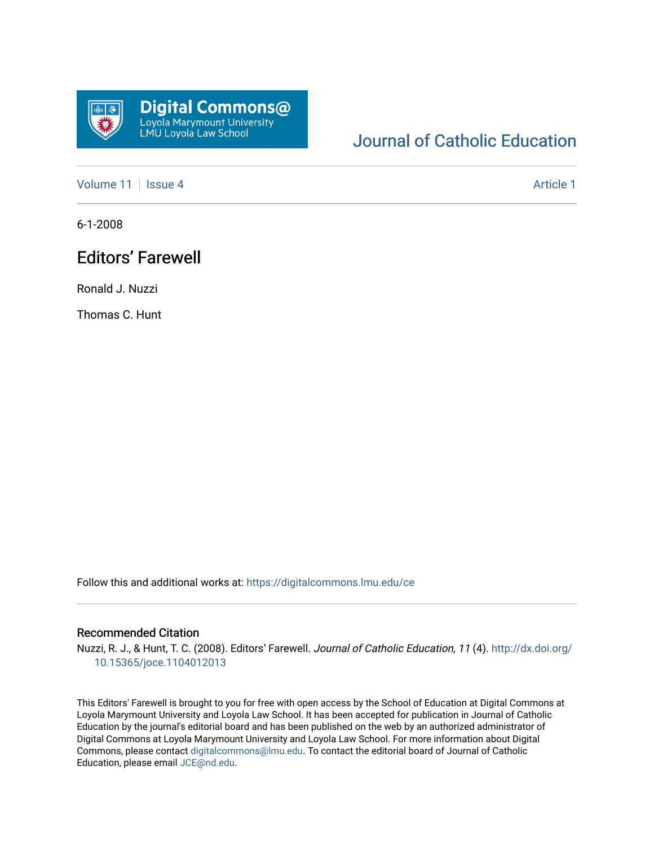

# [Journal of Catholic Education](https://digitalcommons.lmu.edu/ce)

[Volume 11](https://digitalcommons.lmu.edu/ce/vol11) | [Issue 4](https://digitalcommons.lmu.edu/ce/vol11/iss4) Article 1

6-1-2008

# Editors' Farewell

Ronald J. Nuzzi

Thomas C. Hunt

Follow this and additional works at: [https://digitalcommons.lmu.edu/ce](https://digitalcommons.lmu.edu/ce?utm_source=digitalcommons.lmu.edu%2Fce%2Fvol11%2Fiss4%2F1&utm_medium=PDF&utm_campaign=PDFCoverPages)

#### Recommended Citation

Nuzzi, R. J., & Hunt, T. C. (2008). Editors' Farewell. Journal of Catholic Education, 11 (4). [http://dx.doi.org/](http://dx.doi.org/10.15365/joce.1104012013) [10.15365/joce.1104012013](http://dx.doi.org/10.15365/joce.1104012013) 

This Editors' Farewell is brought to you for free with open access by the School of Education at Digital Commons at Loyola Marymount University and Loyola Law School. It has been accepted for publication in Journal of Catholic Education by the journal's editorial board and has been published on the web by an authorized administrator of Digital Commons at Loyola Marymount University and Loyola Law School. For more information about Digital Commons, please contact [digitalcommons@lmu.edu.](mailto:digitalcommons@lmu.edu) To contact the editorial board of Journal of Catholic Education, please email [JCE@nd.edu.](mailto:JCE@nd.edu)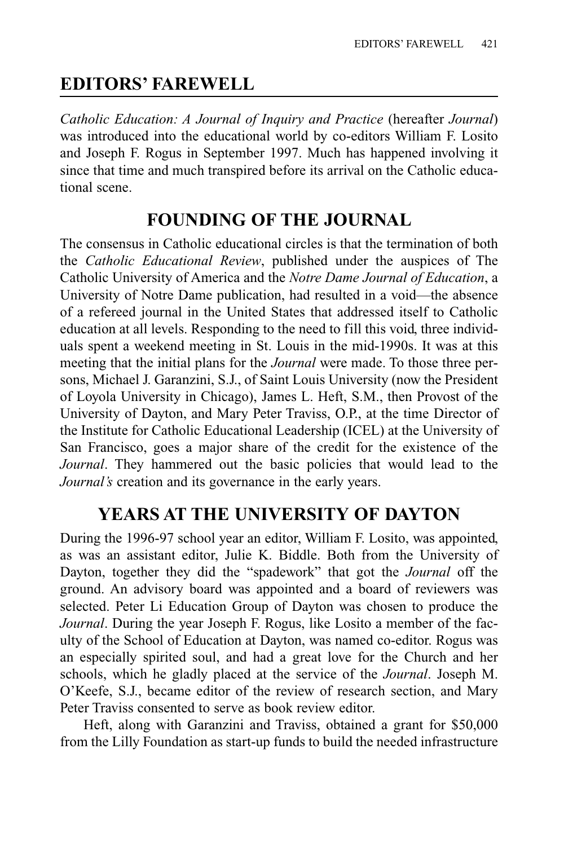## **EDITORS' FAREWELL**

*Catholic Education: A Journal of Inquiry and Practice* (hereafter *Journal*) was introduced into the educational world by co-editors William F. Losito and Joseph F. Rogus in September 1997. Much has happened involving it since that time and much transpired before its arrival on the Catholic educational scene.

### **FOUNDING OF THE JOURNAL**

The consensus in Catholic educational circles is that the termination of both the *Catholic Educational Review*, published under the auspices of The Catholic University of America and the *Notre Dame Journal of Education*, a University of Notre Dame publication, had resulted in a void—the absence of a refereed journal in the United States that addressed itself to Catholic education at all levels. Responding to the need to fill this void, three individuals spent a weekend meeting in St. Louis in the mid-1990s. It was at this meeting that the initial plans for the *Journal* were made. To those three persons, Michael J. Garanzini, S.J., of Saint Louis University (now the President of Loyola University in Chicago), James L. Heft, S.M., then Provost of the University of Dayton, and Mary Peter Traviss, O.P., at the time Director of the Institute for Catholic Educational Leadership (ICEL) at the University of San Francisco, goes a major share of the credit for the existence of the *Journal*. They hammered out the basic policies that would lead to the *Journal's* creation and its governance in the early years.

#### **YEARS AT THE UNIVERSITY OF DAYTON**

During the 1996-97 school year an editor, William F. Losito, was appointed, as was an assistant editor, Julie K. Biddle. Both from the University of Dayton, together they did the "spadework" that got the *Journal* off the ground. An advisory board was appointed and a board of reviewers was selected. Peter Li Education Group of Dayton was chosen to produce the *Journal*. During the year Joseph F. Rogus, like Losito a member of the faculty of the School of Education at Dayton, was named co-editor. Rogus was an especially spirited soul, and had a great love for the Church and her schools, which he gladly placed at the service of the *Journal*. Joseph M. O'Keefe, S.J., became editor of the review of research section, and Mary Peter Traviss consented to serve as book review editor.

Heft, along with Garanzini and Traviss, obtained a grant for \$50,000 from the Lilly Foundation as start-up funds to build the needed infrastructure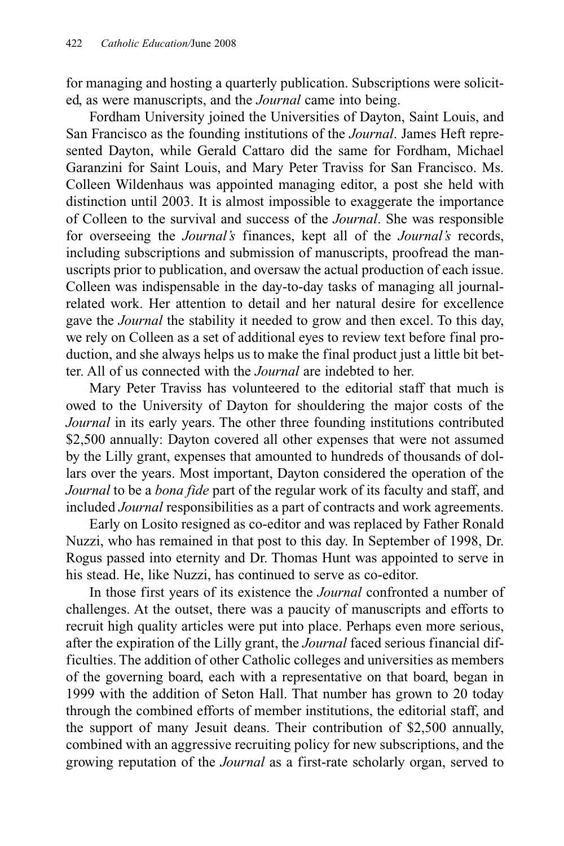for managing and hosting a quarterly publication. Subscriptions were solicited, as were manuscripts, and the *Journal* came into being.

Fordham University joined the Universities of Dayton, Saint Louis, and San Francisco as the founding institutions of the *Journal*. James Heft represented Dayton, while Gerald Cattaro did the same for Fordham, Michael Garanzini for Saint Louis, and Mary Peter Traviss for San Francisco. Ms. Colleen Wildenhaus was appointed managing editor, a post she held with distinction until 2003. It is almost impossible to exaggerate the importance of Colleen to the survival and success of the *Journal*. She was responsible for overseeing the *Journal's* finances, kept all of the *Journal's* records, including subscriptions and submission of manuscripts, proofread the manuscripts prior to publication, and oversaw the actual production of each issue. Colleen was indispensable in the day-to-day tasks of managing all journalrelated work. Her attention to detail and her natural desire for excellence gave the *Journal* the stability it needed to grow and then excel. To this day, we rely on Colleen as a set of additional eyes to review text before final production, and she always helps us to make the final product just a little bit better. All of us connected with the *Journal* are indebted to her.

Mary Peter Traviss has volunteered to the editorial staff that much is owed to the University of Dayton for shouldering the major costs of the *Journal* in its early years. The other three founding institutions contributed \$2,500 annually: Dayton covered all other expenses that were not assumed by the Lilly grant, expenses that amounted to hundreds of thousands of dollars over the years. Most important, Dayton considered the operation of the *Journal* to be a *bona fide* part of the regular work of its faculty and staff, and included *Journal* responsibilities as a part of contracts and work agreements.

Early on Losito resigned as co-editor and was replaced by Father Ronald Nuzzi, who has remained in that post to this day. In September of 1998, Dr. Rogus passed into eternity and Dr. Thomas Hunt was appointed to serve in his stead. He, like Nuzzi, has continued to serve as co-editor.

In those first years of its existence the *Journal* confronted a number of challenges. At the outset, there was a paucity of manuscripts and efforts to recruit high quality articles were put into place. Perhaps even more serious, after the expiration of the Lilly grant, the *Journal* faced serious financial difficulties. The addition of other Catholic colleges and universities as members of the governing board, each with a representative on that board, began in 1999 with the addition of Seton Hall. That number has grown to 20 today through the combined efforts of member institutions, the editorial staff, and the support of many Jesuit deans. Their contribution of \$2,500 annually, combined with an aggressive recruiting policy for new subscriptions, and the growing reputation of the *Journal* as a first-rate scholarly organ, served to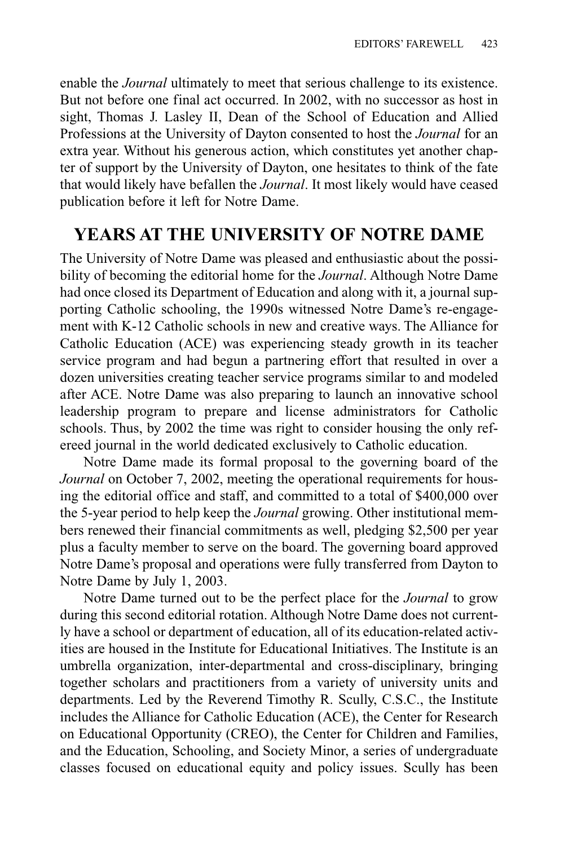enable the *Journal* ultimately to meet that serious challenge to its existence. But not before one final act occurred. In 2002, with no successor as host in sight, Thomas J. Lasley II, Dean of the School of Education and Allied Professions at the University of Dayton consented to host the *Journal* for an extra year. Without his generous action, which constitutes yet another chapter of support by the University of Dayton, one hesitates to think of the fate that would likely have befallen the *Journal*. It most likely would have ceased publication before it left for Notre Dame.

#### **YEARS AT THE UNIVERSITY OF NOTRE DAME**

The University of Notre Dame was pleased and enthusiastic about the possibility of becoming the editorial home for the *Journal*. Although Notre Dame had once closed its Department of Education and along with it, a journal supporting Catholic schooling, the 1990s witnessed Notre Dame's re-engagement with K-12 Catholic schools in new and creative ways. The Alliance for Catholic Education (ACE) was experiencing steady growth in its teacher service program and had begun a partnering effort that resulted in over a dozen universities creating teacher service programs similar to and modeled after ACE. Notre Dame was also preparing to launch an innovative school leadership program to prepare and license administrators for Catholic schools. Thus, by 2002 the time was right to consider housing the only refereed journal in the world dedicated exclusively to Catholic education.

Notre Dame made its formal proposal to the governing board of the *Journal* on October 7, 2002, meeting the operational requirements for housing the editorial office and staff, and committed to a total of \$400,000 over the 5-year period to help keep the *Journal* growing. Other institutional members renewed their financial commitments as well, pledging \$2,500 per year plus a faculty member to serve on the board. The governing board approved Notre Dame's proposal and operations were fully transferred from Dayton to Notre Dame by July 1, 2003.

Notre Dame turned out to be the perfect place for the *Journal* to grow during this second editorial rotation. Although Notre Dame does not currently have a school or department of education, all of its education-related activities are housed in the Institute for Educational Initiatives. The Institute is an umbrella organization, inter-departmental and cross-disciplinary, bringing together scholars and practitioners from a variety of university units and departments. Led by the Reverend Timothy R. Scully, C.S.C., the Institute includes the Alliance for Catholic Education (ACE), the Center for Research on Educational Opportunity (CREO), the Center for Children and Families, and the Education, Schooling, and Society Minor, a series of undergraduate classes focused on educational equity and policy issues. Scully has been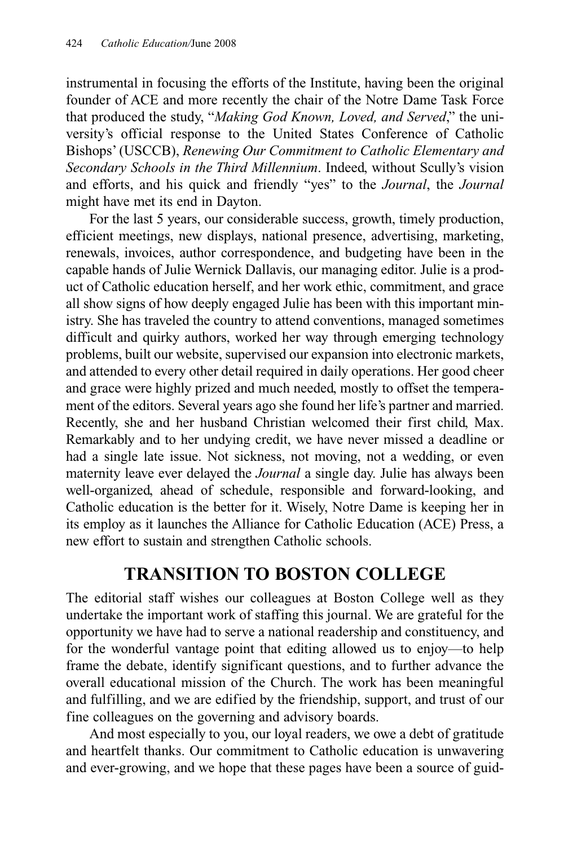instrumental in focusing the efforts of the Institute, having been the original founder of ACE and more recently the chair of the Notre Dame Task Force that produced the study, "*Making God Known, Loved, and Served*," the university's official response to the United States Conference of Catholic Bishops' (USCCB), *Renewing Our Commitment to Catholic Elementary and Secondary Schools in the Third Millennium*. Indeed, without Scully's vision and efforts, and his quick and friendly "yes" to the *Journal*, the *Journal* might have met its end in Dayton.

For the last 5 years, our considerable success, growth, timely production, efficient meetings, new displays, national presence, advertising, marketing, renewals, invoices, author correspondence, and budgeting have been in the capable hands of Julie Wernick Dallavis, our managing editor. Julie is a product of Catholic education herself, and her work ethic, commitment, and grace all show signs of how deeply engaged Julie has been with this important ministry. She has traveled the country to attend conventions, managed sometimes difficult and quirky authors, worked her way through emerging technology problems, built our website, supervised our expansion into electronic markets, and attended to every other detail required in daily operations. Her good cheer and grace were highly prized and much needed, mostly to offset the temperament of the editors. Several years ago she found her life's partner and married. Recently, she and her husband Christian welcomed their first child, Max. Remarkably and to her undying credit, we have never missed a deadline or had a single late issue. Not sickness, not moving, not a wedding, or even maternity leave ever delayed the *Journal* a single day. Julie has always been well-organized, ahead of schedule, responsible and forward-looking, and Catholic education is the better for it. Wisely, Notre Dame is keeping her in its employ as it launches the Alliance for Catholic Education (ACE) Press, a new effort to sustain and strengthen Catholic schools.

#### **TRANSITION TO BOSTON COLLEGE**

The editorial staff wishes our colleagues at Boston College well as they undertake the important work of staffing this journal. We are grateful for the opportunity we have had to serve a national readership and constituency, and for the wonderful vantage point that editing allowed us to enjoy—to help frame the debate, identify significant questions, and to further advance the overall educational mission of the Church. The work has been meaningful and fulfilling, and we are edified by the friendship, support, and trust of our fine colleagues on the governing and advisory boards.

And most especially to you, our loyal readers, we owe a debt of gratitude and heartfelt thanks. Our commitment to Catholic education is unwavering and ever-growing, and we hope that these pages have been a source of guid